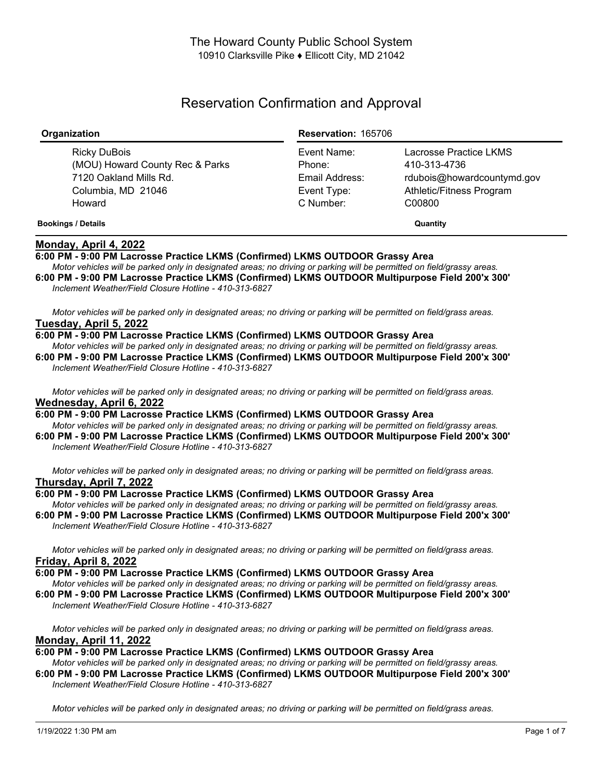# Reservation Confirmation and Approval

| Organization                                                                                              | <b>Reservation: 165706</b>                                          |                                                                                                            |
|-----------------------------------------------------------------------------------------------------------|---------------------------------------------------------------------|------------------------------------------------------------------------------------------------------------|
| Ricky DuBois<br>(MOU) Howard County Rec & Parks<br>7120 Oakland Mills Rd.<br>Columbia, MD 21046<br>Howard | Event Name:<br>Phone:<br>Email Address:<br>Event Type:<br>C Number: | Lacrosse Practice LKMS<br>410-313-4736<br>rdubois@howardcountymd.gov<br>Athletic/Fitness Program<br>C00800 |
| <b>Bookings / Details</b>                                                                                 |                                                                     | Quantity                                                                                                   |

### **Monday, April 4, 2022**

### **6:00 PM - 9:00 PM Lacrosse Practice LKMS (Confirmed) LKMS OUTDOOR Grassy Area**

Motor vehicles will be parked only in designated areas; no driving or parking will be permitted on field/grassy areas. **6:00 PM - 9:00 PM Lacrosse Practice LKMS (Confirmed) LKMS OUTDOOR Multipurpose Field 200'x 300'** *Inclement Weather/Field Closure Hotline - 410-313-6827*

Motor vehicles will be parked only in designated areas; no driving or parking will be permitted on field/grass areas. **Tuesday, April 5, 2022**

#### **6:00 PM - 9:00 PM Lacrosse Practice LKMS (Confirmed) LKMS OUTDOOR Grassy Area**

Motor vehicles will be parked only in designated areas; no driving or parking will be permitted on field/grassy areas. **6:00 PM - 9:00 PM Lacrosse Practice LKMS (Confirmed) LKMS OUTDOOR Multipurpose Field 200'x 300'** *Inclement Weather/Field Closure Hotline - 410-313-6827*

Motor vehicles will be parked only in designated areas; no driving or parking will be permitted on field/grass areas. **Wednesday, April 6, 2022**

### **6:00 PM - 9:00 PM Lacrosse Practice LKMS (Confirmed) LKMS OUTDOOR Grassy Area**

Motor vehicles will be parked only in designated areas; no driving or parking will be permitted on field/grassy areas. **6:00 PM - 9:00 PM Lacrosse Practice LKMS (Confirmed) LKMS OUTDOOR Multipurpose Field 200'x 300'** *Inclement Weather/Field Closure Hotline - 410-313-6827*

Motor vehicles will be parked only in designated areas; no driving or parking will be permitted on field/grass areas. **Thursday, April 7, 2022**

### **6:00 PM - 9:00 PM Lacrosse Practice LKMS (Confirmed) LKMS OUTDOOR Grassy Area**

Motor vehicles will be parked only in designated areas; no driving or parking will be permitted on field/grassy areas. **6:00 PM - 9:00 PM Lacrosse Practice LKMS (Confirmed) LKMS OUTDOOR Multipurpose Field 200'x 300'** *Inclement Weather/Field Closure Hotline - 410-313-6827*

Motor vehicles will be parked only in designated areas; no driving or parking will be permitted on field/grass areas. **Friday, April 8, 2022**

**6:00 PM - 9:00 PM Lacrosse Practice LKMS (Confirmed) LKMS OUTDOOR Grassy Area**

Motor vehicles will be parked only in designated areas; no driving or parking will be permitted on field/grassy areas.

**6:00 PM - 9:00 PM Lacrosse Practice LKMS (Confirmed) LKMS OUTDOOR Multipurpose Field 200'x 300'** *Inclement Weather/Field Closure Hotline - 410-313-6827*

Motor vehicles will be parked only in designated areas; no driving or parking will be permitted on field/grass areas. **Monday, April 11, 2022**

**6:00 PM - 9:00 PM Lacrosse Practice LKMS (Confirmed) LKMS OUTDOOR Grassy Area**

Motor vehicles will be parked only in designated areas: no driving or parking will be permitted on field/grassy areas. **6:00 PM - 9:00 PM Lacrosse Practice LKMS (Confirmed) LKMS OUTDOOR Multipurpose Field 200'x 300'** *Inclement Weather/Field Closure Hotline - 410-313-6827*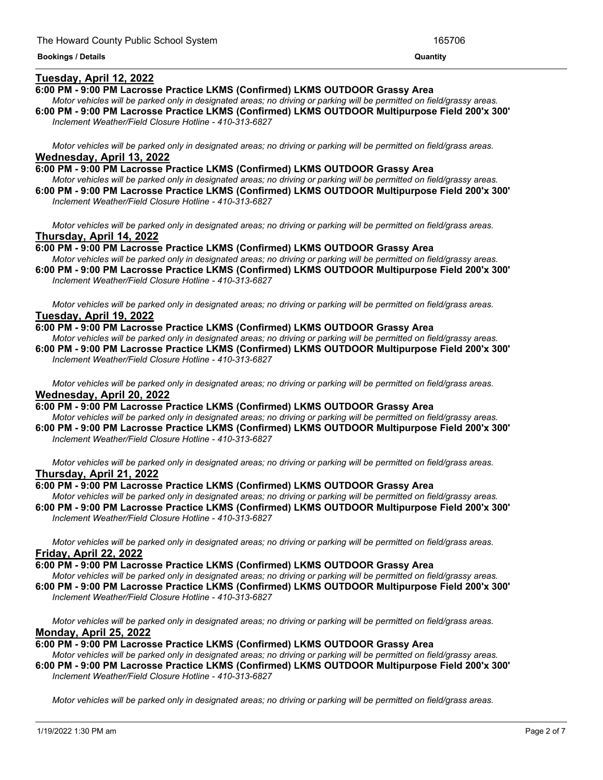### **Tuesday, April 12, 2022**

### **6:00 PM - 9:00 PM Lacrosse Practice LKMS (Confirmed) LKMS OUTDOOR Grassy Area**

Motor vehicles will be parked only in designated areas; no driving or parking will be permitted on field/grassy areas. **6:00 PM - 9:00 PM Lacrosse Practice LKMS (Confirmed) LKMS OUTDOOR Multipurpose Field 200'x 300'** *Inclement Weather/Field Closure Hotline - 410-313-6827*

<u> 1989 - Andrea Andrew Maria (h. 1989).</u>

Motor vehicles will be parked only in designated areas; no driving or parking will be permitted on field/grass areas. **Wednesday, April 13, 2022**

**6:00 PM - 9:00 PM Lacrosse Practice LKMS (Confirmed) LKMS OUTDOOR Grassy Area** Motor vehicles will be parked only in designated areas; no driving or parking will be permitted on field/grassy areas. **6:00 PM - 9:00 PM Lacrosse Practice LKMS (Confirmed) LKMS OUTDOOR Multipurpose Field 200'x 300'**

*Inclement Weather/Field Closure Hotline - 410-313-6827*

Motor vehicles will be parked only in designated areas; no driving or parking will be permitted on field/grass areas. **Thursday, April 14, 2022**

**6:00 PM - 9:00 PM Lacrosse Practice LKMS (Confirmed) LKMS OUTDOOR Grassy Area** Motor vehicles will be parked only in designated areas; no driving or parking will be permitted on field/grassy areas.

**6:00 PM - 9:00 PM Lacrosse Practice LKMS (Confirmed) LKMS OUTDOOR Multipurpose Field 200'x 300'** *Inclement Weather/Field Closure Hotline - 410-313-6827*

Motor vehicles will be parked only in designated areas; no driving or parking will be permitted on field/grass areas. **Tuesday, April 19, 2022**

**6:00 PM - 9:00 PM Lacrosse Practice LKMS (Confirmed) LKMS OUTDOOR Grassy Area**

Motor vehicles will be parked only in designated areas: no driving or parking will be permitted on field/grassy areas. **6:00 PM - 9:00 PM Lacrosse Practice LKMS (Confirmed) LKMS OUTDOOR Multipurpose Field 200'x 300'** *Inclement Weather/Field Closure Hotline - 410-313-6827*

Motor vehicles will be parked only in designated areas; no driving or parking will be permitted on field/grass areas. **Wednesday, April 20, 2022**

**6:00 PM - 9:00 PM Lacrosse Practice LKMS (Confirmed) LKMS OUTDOOR Grassy Area** Motor vehicles will be parked only in designated areas; no driving or parking will be permitted on field/grassy areas. **6:00 PM - 9:00 PM Lacrosse Practice LKMS (Confirmed) LKMS OUTDOOR Multipurpose Field 200'x 300'**

*Inclement Weather/Field Closure Hotline - 410-313-6827*

Motor vehicles will be parked only in designated areas: no driving or parking will be permitted on field/grass areas. **Thursday, April 21, 2022**

### **6:00 PM - 9:00 PM Lacrosse Practice LKMS (Confirmed) LKMS OUTDOOR Grassy Area**

Motor vehicles will be parked only in designated areas; no driving or parking will be permitted on field/grassy areas. **6:00 PM - 9:00 PM Lacrosse Practice LKMS (Confirmed) LKMS OUTDOOR Multipurpose Field 200'x 300'** *Inclement Weather/Field Closure Hotline - 410-313-6827*

Motor vehicles will be parked only in designated areas; no driving or parking will be permitted on field/grass areas. **Friday, April 22, 2022**

**6:00 PM - 9:00 PM Lacrosse Practice LKMS (Confirmed) LKMS OUTDOOR Grassy Area**

Motor vehicles will be parked only in designated areas; no driving or parking will be permitted on field/grassy areas. **6:00 PM - 9:00 PM Lacrosse Practice LKMS (Confirmed) LKMS OUTDOOR Multipurpose Field 200'x 300'** *Inclement Weather/Field Closure Hotline - 410-313-6827*

Motor vehicles will be parked only in designated areas; no driving or parking will be permitted on field/grass areas. **Monday, April 25, 2022**

**6:00 PM - 9:00 PM Lacrosse Practice LKMS (Confirmed) LKMS OUTDOOR Grassy Area**

Motor vehicles will be parked only in designated areas; no driving or parking will be permitted on field/grassy areas. **6:00 PM - 9:00 PM Lacrosse Practice LKMS (Confirmed) LKMS OUTDOOR Multipurpose Field 200'x 300'** *Inclement Weather/Field Closure Hotline - 410-313-6827*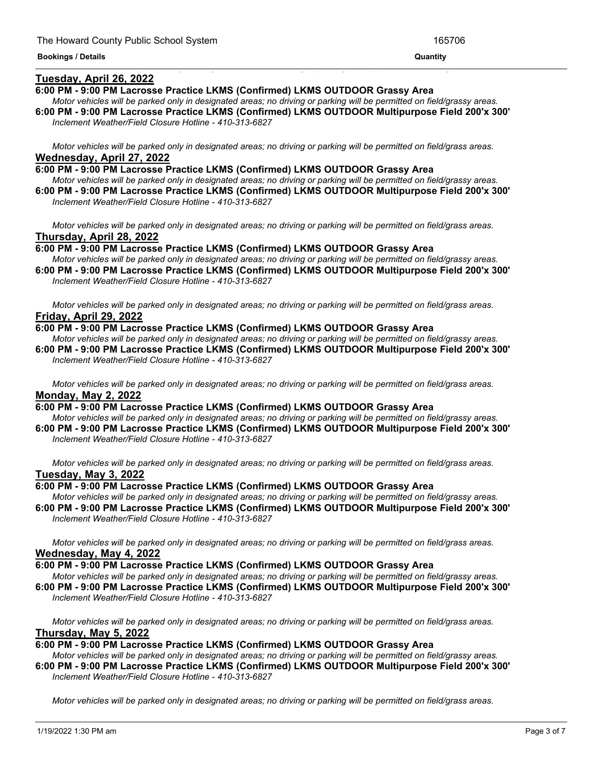### **Tuesday, April 26, 2022**

#### **6:00 PM - 9:00 PM Lacrosse Practice LKMS (Confirmed) LKMS OUTDOOR Grassy Area**

Motor vehicles will be parked only in designated areas; no driving or parking will be permitted on field/grassy areas. **6:00 PM - 9:00 PM Lacrosse Practice LKMS (Confirmed) LKMS OUTDOOR Multipurpose Field 200'x 300'**

<u> 1999 - Jan James James James James James James James James James James James James James James James James J</u>

*Inclement Weather/Field Closure Hotline - 410-313-6827*

Motor vehicles will be parked only in designated areas; no driving or parking will be permitted on field/grass areas. **Wednesday, April 27, 2022**

**6:00 PM - 9:00 PM Lacrosse Practice LKMS (Confirmed) LKMS OUTDOOR Grassy Area** Motor vehicles will be parked only in designated areas; no driving or parking will be permitted on field/grassy areas. **6:00 PM - 9:00 PM Lacrosse Practice LKMS (Confirmed) LKMS OUTDOOR Multipurpose Field 200'x 300'** *Inclement Weather/Field Closure Hotline - 410-313-6827*

Motor vehicles will be parked only in designated areas; no driving or parking will be permitted on field/grass areas. **Thursday, April 28, 2022**

**6:00 PM - 9:00 PM Lacrosse Practice LKMS (Confirmed) LKMS OUTDOOR Grassy Area** Motor vehicles will be parked only in designated areas; no driving or parking will be permitted on field/grassy areas.

**6:00 PM - 9:00 PM Lacrosse Practice LKMS (Confirmed) LKMS OUTDOOR Multipurpose Field 200'x 300'** *Inclement Weather/Field Closure Hotline - 410-313-6827*

Motor vehicles will be parked only in designated areas; no driving or parking will be permitted on field/grass areas. **Friday, April 29, 2022**

**6:00 PM - 9:00 PM Lacrosse Practice LKMS (Confirmed) LKMS OUTDOOR Grassy Area**

Motor vehicles will be parked only in designated areas; no driving or parking will be permitted on field/grassy areas. **6:00 PM - 9:00 PM Lacrosse Practice LKMS (Confirmed) LKMS OUTDOOR Multipurpose Field 200'x 300'** *Inclement Weather/Field Closure Hotline - 410-313-6827*

Motor vehicles will be parked only in designated areas; no driving or parking will be permitted on field/grass areas. **Monday, May 2, 2022**

**6:00 PM - 9:00 PM Lacrosse Practice LKMS (Confirmed) LKMS OUTDOOR Grassy Area** Motor vehicles will be parked only in designated areas; no driving or parking will be permitted on field/grassy areas.

**6:00 PM - 9:00 PM Lacrosse Practice LKMS (Confirmed) LKMS OUTDOOR Multipurpose Field 200'x 300'** *Inclement Weather/Field Closure Hotline - 410-313-6827*

Motor vehicles will be parked only in designated areas; no driving or parking will be permitted on field/grass areas. **Tuesday, May 3, 2022**

### **6:00 PM - 9:00 PM Lacrosse Practice LKMS (Confirmed) LKMS OUTDOOR Grassy Area**

Motor vehicles will be parked only in designated areas; no driving or parking will be permitted on field/grassy areas. **6:00 PM - 9:00 PM Lacrosse Practice LKMS (Confirmed) LKMS OUTDOOR Multipurpose Field 200'x 300'** *Inclement Weather/Field Closure Hotline - 410-313-6827*

Motor vehicles will be parked only in designated areas; no driving or parking will be permitted on field/grass areas. **Wednesday, May 4, 2022**

**6:00 PM - 9:00 PM Lacrosse Practice LKMS (Confirmed) LKMS OUTDOOR Grassy Area**

Motor vehicles will be parked only in designated areas; no driving or parking will be permitted on field/grassy areas. **6:00 PM - 9:00 PM Lacrosse Practice LKMS (Confirmed) LKMS OUTDOOR Multipurpose Field 200'x 300'**

*Inclement Weather/Field Closure Hotline - 410-313-6827*

Motor vehicles will be parked only in designated areas; no driving or parking will be permitted on field/grass areas. **Thursday, May 5, 2022**

**6:00 PM - 9:00 PM Lacrosse Practice LKMS (Confirmed) LKMS OUTDOOR Grassy Area**

Motor vehicles will be parked only in designated areas; no driving or parking will be permitted on field/grassy areas. **6:00 PM - 9:00 PM Lacrosse Practice LKMS (Confirmed) LKMS OUTDOOR Multipurpose Field 200'x 300'**

*Inclement Weather/Field Closure Hotline - 410-313-6827*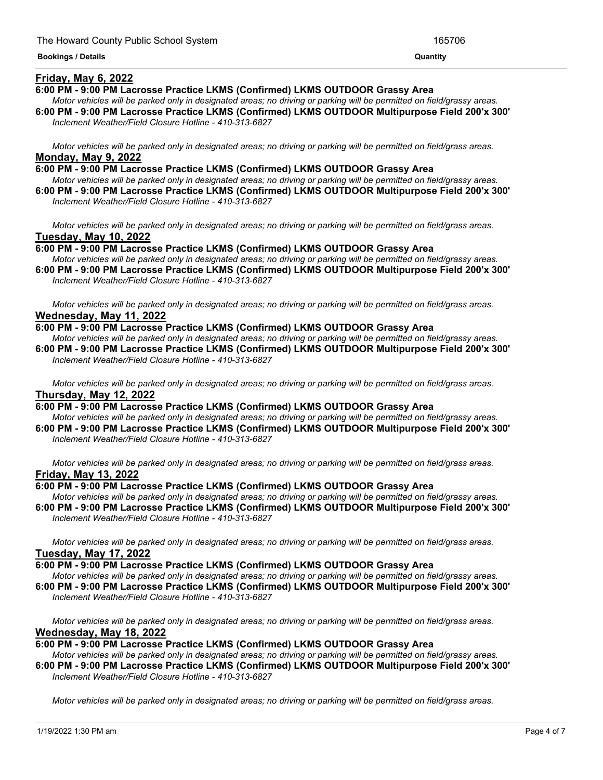### **Friday, May 6, 2022**

#### **6:00 PM - 9:00 PM Lacrosse Practice LKMS (Confirmed) LKMS OUTDOOR Grassy Area**

Motor vehicles will be parked only in designated areas; no driving or parking will be permitted on field/grassy areas. **6:00 PM - 9:00 PM Lacrosse Practice LKMS (Confirmed) LKMS OUTDOOR Multipurpose Field 200'x 300'**

<u> 1989 - Andrea Andrew Maria (h. 1989).</u>

*Inclement Weather/Field Closure Hotline - 410-313-6827*

Motor vehicles will be parked only in designated areas; no driving or parking will be permitted on field/grass areas. **Monday, May 9, 2022**

**6:00 PM - 9:00 PM Lacrosse Practice LKMS (Confirmed) LKMS OUTDOOR Grassy Area** Motor vehicles will be parked only in designated areas; no driving or parking will be permitted on field/grassy areas.

**6:00 PM - 9:00 PM Lacrosse Practice LKMS (Confirmed) LKMS OUTDOOR Multipurpose Field 200'x 300'** *Inclement Weather/Field Closure Hotline - 410-313-6827*

Motor vehicles will be parked only in designated areas; no driving or parking will be permitted on field/grass areas. **Tuesday, May 10, 2022**

**6:00 PM - 9:00 PM Lacrosse Practice LKMS (Confirmed) LKMS OUTDOOR Grassy Area** Motor vehicles will be parked only in designated areas; no driving or parking will be permitted on field/grassy areas.

**6:00 PM - 9:00 PM Lacrosse Practice LKMS (Confirmed) LKMS OUTDOOR Multipurpose Field 200'x 300'** *Inclement Weather/Field Closure Hotline - 410-313-6827*

Motor vehicles will be parked only in designated areas; no driving or parking will be permitted on field/grass areas. **Wednesday, May 11, 2022**

**6:00 PM - 9:00 PM Lacrosse Practice LKMS (Confirmed) LKMS OUTDOOR Grassy Area**

Motor vehicles will be parked only in designated areas: no driving or parking will be permitted on field/grassy areas. **6:00 PM - 9:00 PM Lacrosse Practice LKMS (Confirmed) LKMS OUTDOOR Multipurpose Field 200'x 300'** *Inclement Weather/Field Closure Hotline - 410-313-6827*

Motor vehicles will be parked only in designated areas; no driving or parking will be permitted on field/grass areas. **Thursday, May 12, 2022**

**6:00 PM - 9:00 PM Lacrosse Practice LKMS (Confirmed) LKMS OUTDOOR Grassy Area**

Motor vehicles will be parked only in designated areas; no driving or parking will be permitted on field/grassy areas. **6:00 PM - 9:00 PM Lacrosse Practice LKMS (Confirmed) LKMS OUTDOOR Multipurpose Field 200'x 300'** *Inclement Weather/Field Closure Hotline - 410-313-6827*

Motor vehicles will be parked only in designated areas; no driving or parking will be permitted on field/grass areas. **Friday, May 13, 2022**

#### **6:00 PM - 9:00 PM Lacrosse Practice LKMS (Confirmed) LKMS OUTDOOR Grassy Area**

Motor vehicles will be parked only in designated areas; no driving or parking will be permitted on field/grassy areas. **6:00 PM - 9:00 PM Lacrosse Practice LKMS (Confirmed) LKMS OUTDOOR Multipurpose Field 200'x 300'** *Inclement Weather/Field Closure Hotline - 410-313-6827*

Motor vehicles will be parked only in designated areas; no driving or parking will be permitted on field/grass areas. **Tuesday, May 17, 2022**

#### **6:00 PM - 9:00 PM Lacrosse Practice LKMS (Confirmed) LKMS OUTDOOR Grassy Area**

Motor vehicles will be parked only in designated areas; no driving or parking will be permitted on field/grassy areas. **6:00 PM - 9:00 PM Lacrosse Practice LKMS (Confirmed) LKMS OUTDOOR Multipurpose Field 200'x 300'** *Inclement Weather/Field Closure Hotline - 410-313-6827*

Motor vehicles will be parked only in designated areas; no driving or parking will be permitted on field/grass areas. **Wednesday, May 18, 2022**

### **6:00 PM - 9:00 PM Lacrosse Practice LKMS (Confirmed) LKMS OUTDOOR Grassy Area**

Motor vehicles will be parked only in designated areas; no driving or parking will be permitted on field/grassy areas. **6:00 PM - 9:00 PM Lacrosse Practice LKMS (Confirmed) LKMS OUTDOOR Multipurpose Field 200'x 300'** *Inclement Weather/Field Closure Hotline - 410-313-6827*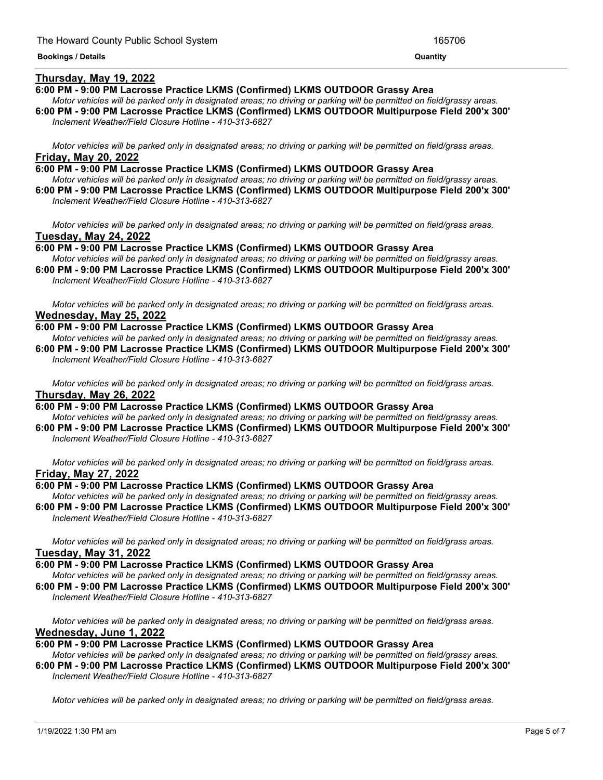### **Thursday, May 19, 2022**

#### **6:00 PM - 9:00 PM Lacrosse Practice LKMS (Confirmed) LKMS OUTDOOR Grassy Area**

Motor vehicles will be parked only in designated areas; no driving or parking will be permitted on field/grassy areas. **6:00 PM - 9:00 PM Lacrosse Practice LKMS (Confirmed) LKMS OUTDOOR Multipurpose Field 200'x 300'** *Inclement Weather/Field Closure Hotline - 410-313-6827*

Motor vehicles will be parked only in designated areas; no driving or parking will be permitted on field/grass areas. **Friday, May 20, 2022**

**6:00 PM - 9:00 PM Lacrosse Practice LKMS (Confirmed) LKMS OUTDOOR Grassy Area** Motor vehicles will be parked only in designated areas; no driving or parking will be permitted on field/grassy areas. **6:00 PM - 9:00 PM Lacrosse Practice LKMS (Confirmed) LKMS OUTDOOR Multipurpose Field 200'x 300'** *Inclement Weather/Field Closure Hotline - 410-313-6827*

Motor vehicles will be parked only in designated areas; no driving or parking will be permitted on field/grass areas. **Tuesday, May 24, 2022**

**6:00 PM - 9:00 PM Lacrosse Practice LKMS (Confirmed) LKMS OUTDOOR Grassy Area** Motor vehicles will be parked only in designated areas; no driving or parking will be permitted on field/grassy areas.

**6:00 PM - 9:00 PM Lacrosse Practice LKMS (Confirmed) LKMS OUTDOOR Multipurpose Field 200'x 300'** *Inclement Weather/Field Closure Hotline - 410-313-6827*

Motor vehicles will be parked only in designated areas; no driving or parking will be permitted on field/grass areas. **Wednesday, May 25, 2022**

**6:00 PM - 9:00 PM Lacrosse Practice LKMS (Confirmed) LKMS OUTDOOR Grassy Area**

Motor vehicles will be parked only in designated areas: no driving or parking will be permitted on field/grassy areas. **6:00 PM - 9:00 PM Lacrosse Practice LKMS (Confirmed) LKMS OUTDOOR Multipurpose Field 200'x 300'** *Inclement Weather/Field Closure Hotline - 410-313-6827*

Motor vehicles will be parked only in designated areas; no driving or parking will be permitted on field/grass areas. **Thursday, May 26, 2022**

**6:00 PM - 9:00 PM Lacrosse Practice LKMS (Confirmed) LKMS OUTDOOR Grassy Area** Motor vehicles will be parked only in designated areas; no driving or parking will be permitted on field/grassy areas.

**6:00 PM - 9:00 PM Lacrosse Practice LKMS (Confirmed) LKMS OUTDOOR Multipurpose Field 200'x 300'** *Inclement Weather/Field Closure Hotline - 410-313-6827*

Motor vehicles will be parked only in designated areas; no driving or parking will be permitted on field/grass areas. **Friday, May 27, 2022**

#### **6:00 PM - 9:00 PM Lacrosse Practice LKMS (Confirmed) LKMS OUTDOOR Grassy Area**

Motor vehicles will be parked only in designated areas; no driving or parking will be permitted on field/grassy areas. **6:00 PM - 9:00 PM Lacrosse Practice LKMS (Confirmed) LKMS OUTDOOR Multipurpose Field 200'x 300'** *Inclement Weather/Field Closure Hotline - 410-313-6827*

Motor vehicles will be parked only in designated areas; no driving or parking will be permitted on field/grass areas. **Tuesday, May 31, 2022**

**6:00 PM - 9:00 PM Lacrosse Practice LKMS (Confirmed) LKMS OUTDOOR Grassy Area**

Motor vehicles will be parked only in designated areas; no driving or parking will be permitted on field/grassy areas. **6:00 PM - 9:00 PM Lacrosse Practice LKMS (Confirmed) LKMS OUTDOOR Multipurpose Field 200'x 300'**

*Inclement Weather/Field Closure Hotline - 410-313-6827*

Motor vehicles will be parked only in designated areas; no driving or parking will be permitted on field/grass areas. **Wednesday, June 1, 2022**

**6:00 PM - 9:00 PM Lacrosse Practice LKMS (Confirmed) LKMS OUTDOOR Grassy Area**

Motor vehicles will be parked only in designated areas; no driving or parking will be permitted on field/grassy areas. **6:00 PM - 9:00 PM Lacrosse Practice LKMS (Confirmed) LKMS OUTDOOR Multipurpose Field 200'x 300'** *Inclement Weather/Field Closure Hotline - 410-313-6827*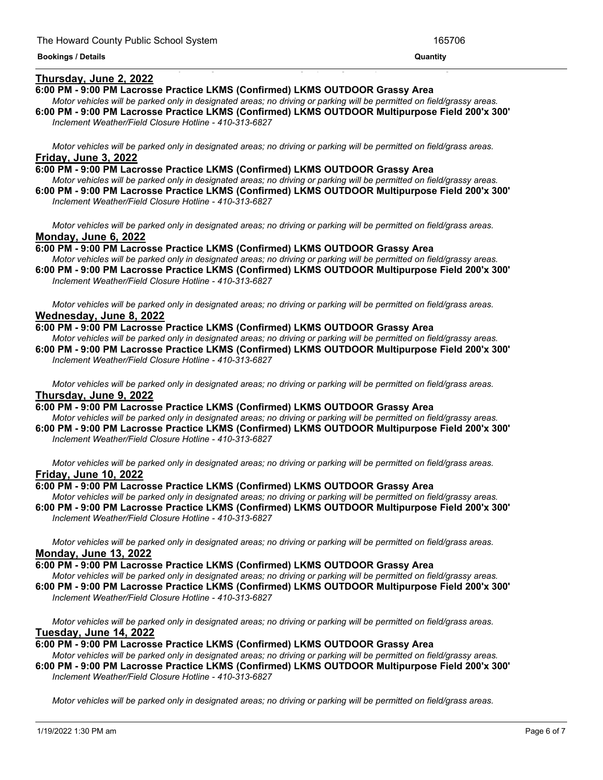### **Thursday, June 2, 2022**

#### **6:00 PM - 9:00 PM Lacrosse Practice LKMS (Confirmed) LKMS OUTDOOR Grassy Area**

Motor vehicles will be parked only in designated areas; no driving or parking will be permitted on field/grassy areas. **6:00 PM - 9:00 PM Lacrosse Practice LKMS (Confirmed) LKMS OUTDOOR Multipurpose Field 200'x 300'**

<u> 1989 - Andrea Andrea Andrea Andrea Andrea Andrea Andrea Andrea Andrea Andrea Andrea Andrea Andrea Andrea Andr</u>

*Inclement Weather/Field Closure Hotline - 410-313-6827*

Motor vehicles will be parked only in designated areas; no driving or parking will be permitted on field/grass areas. **Friday, June 3, 2022**

- **6:00 PM - 9:00 PM Lacrosse Practice LKMS (Confirmed) LKMS OUTDOOR Grassy Area** Motor vehicles will be parked only in designated areas; no driving or parking will be permitted on field/grassy areas.
- **6:00 PM - 9:00 PM Lacrosse Practice LKMS (Confirmed) LKMS OUTDOOR Multipurpose Field 200'x 300'** *Inclement Weather/Field Closure Hotline - 410-313-6827*

Motor vehicles will be parked only in designated areas; no driving or parking will be permitted on field/grass areas. **Monday, June 6, 2022**

**6:00 PM - 9:00 PM Lacrosse Practice LKMS (Confirmed) LKMS OUTDOOR Grassy Area** Motor vehicles will be parked only in designated areas; no driving or parking will be permitted on field/grassy areas.

**6:00 PM - 9:00 PM Lacrosse Practice LKMS (Confirmed) LKMS OUTDOOR Multipurpose Field 200'x 300'** *Inclement Weather/Field Closure Hotline - 410-313-6827*

Motor vehicles will be parked only in designated areas; no driving or parking will be permitted on field/grass areas. **Wednesday, June 8, 2022**

**6:00 PM - 9:00 PM Lacrosse Practice LKMS (Confirmed) LKMS OUTDOOR Grassy Area**

Motor vehicles will be parked only in designated areas; no driving or parking will be permitted on field/grassy areas. **6:00 PM - 9:00 PM Lacrosse Practice LKMS (Confirmed) LKMS OUTDOOR Multipurpose Field 200'x 300'** *Inclement Weather/Field Closure Hotline - 410-313-6827*

Motor vehicles will be parked only in designated areas; no driving or parking will be permitted on field/grass areas. **Thursday, June 9, 2022**

**6:00 PM - 9:00 PM Lacrosse Practice LKMS (Confirmed) LKMS OUTDOOR Grassy Area** Motor vehicles will be parked only in designated areas; no driving or parking will be permitted on field/grassy areas.

**6:00 PM - 9:00 PM Lacrosse Practice LKMS (Confirmed) LKMS OUTDOOR Multipurpose Field 200'x 300'** *Inclement Weather/Field Closure Hotline - 410-313-6827*

Motor vehicles will be parked only in designated areas; no driving or parking will be permitted on field/grass areas. **Friday, June 10, 2022**

### **6:00 PM - 9:00 PM Lacrosse Practice LKMS (Confirmed) LKMS OUTDOOR Grassy Area**

Motor vehicles will be parked only in designated areas; no driving or parking will be permitted on field/grassy areas. **6:00 PM - 9:00 PM Lacrosse Practice LKMS (Confirmed) LKMS OUTDOOR Multipurpose Field 200'x 300'** *Inclement Weather/Field Closure Hotline - 410-313-6827*

Motor vehicles will be parked only in designated areas; no driving or parking will be permitted on field/grass areas. **Monday, June 13, 2022**

**6:00 PM - 9:00 PM Lacrosse Practice LKMS (Confirmed) LKMS OUTDOOR Grassy Area**

Motor vehicles will be parked only in designated areas; no driving or parking will be permitted on field/grassy areas. **6:00 PM - 9:00 PM Lacrosse Practice LKMS (Confirmed) LKMS OUTDOOR Multipurpose Field 200'x 300'** *Inclement Weather/Field Closure Hotline - 410-313-6827*

Motor vehicles will be parked only in designated areas; no driving or parking will be permitted on field/grass areas.

## **Tuesday, June 14, 2022**

**6:00 PM - 9:00 PM Lacrosse Practice LKMS (Confirmed) LKMS OUTDOOR Grassy Area**

Motor vehicles will be parked only in designated areas; no driving or parking will be permitted on field/grassy areas. **6:00 PM - 9:00 PM Lacrosse Practice LKMS (Confirmed) LKMS OUTDOOR Multipurpose Field 200'x 300'** *Inclement Weather/Field Closure Hotline - 410-313-6827*